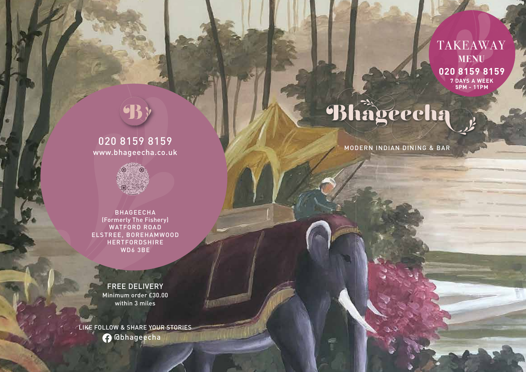e.

# 020 8159 8159 www.bhageecha.co.uk



BHAGEECHA (Formerly The Fishery) WATFORD ROAD ELSTREE, BOREHAMWOOD **HERTFORDSHIRE** WD6 3BE

FREE DELIVERY Minimum order £30.00 within 3 miles

LIKE FOLLOW & SHARE YOUR STORIES **@** @bhageecha

# TAKEAWAY **MENU 020 8159 8159 7 DAYS A WEEK 5PM - 11PM**

# Bhägeecha

MODERN INDIAN DINING & BAR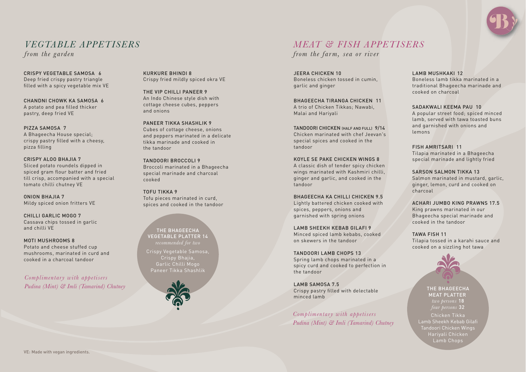

# *VEGTABLE APPETISERS*

*from the garden*

CRISPY VEGETABLE SAMOSA 6 Deep fried crispy pastry triangle filled with a spicy vegetable mix VE

CHANDNI CHOWK KA SAMOSA 6 A potato and pea filled thicker pastry, deep fried VE

PIZZA SAMOSA 7 A Bhageecha House special; crispy pastry filled with a cheesy, pizza filling

CRISPY ALOO BHAJIA 7 Sliced potato roundels dipped in spiced gram flour batter and fried till crisp, accompanied with a special tomato chilli chutney VE

ONION BHAJIA 7 Mildy spiced onion fritters VE

CHILLI GARLIC MOGO 7 Cassava chips tossed in garlic and chilli VE

MOTI MUSHROOMS 8 Potato and cheese stuffed cup mushrooms, marinated in curd and cooked in a charcoal tandoor

*Complimentary with appetisers Pudina (Mint) & Imli (Tamarind) Chutney* 

KURKURE BHINDI 8 Crispy fried mildly spiced okra VE

THE VIP CHILLI PANEER 9 An Indo Chinese style dish with cottage cheese cubes, peppers and onions

PANEER TIKKA SHASHI IK 9 Cubes of cottage cheese, onions and peppers marinated in a delicate tikka marinade and cooked in the tandoor

TANDOORI BROCCOLI 9 Broccoli marinated in a Bhageecha special marinade and charcoal cooked

TOFU TIKKA 9 Tofu pieces marinated in curd, spices and cooked in the tandoor

THE BHAGEECHA VEGETABLE PLATTER 14

Crispy Vegetable Samosa, Crispy Bhajia, Garlic Chilli Mogo Paneer Tikka Shashlik



# *MEAT & FISH APPETISERS*

*from the farm, sea or river*

JEERA CHICKEN 10 Boneless chicken tossed in cumin, garlic and ginger

BHAGEECHA TIRANGA CHICKEN 11 A trio of Chicken Tikkas: Nawabi Malai and Hariyali

TANDOORI CHICKEN (HALF AND FULL) 9/14 Chicken marinated with chef Jeevan's special spices and cooked in the tandoor

KOYLE SE PAKE CHICKEN WINGS 8 A classic dish of tender spicy chicken wings marinated with Kashmiri chilli, ginger and garlic, and cooked in the tandoor

BHAGEECHA KA CHILLI CHICKEN 9.5 Lightly battered chicken cooked with spices, peppers, onions and garnished with spring onions

LAMB SHEEKH KEBAB GILAFI 9 Minced spiced lamb kebabs, cooked on skewers in the tandoor

TANDOORI LAMB CHOPS 13 Spring lamb chops marinated in a spicy curd and cooked to perfection in the tandoor

LAMB SAMOSA 7.5 Crispy pastry filled with delectable minced lamb

*Complimentary with appetisers Pudina (Mint) & Imli (Tamarind) Chutney* 

### LAMB MUSHKAKI 12

Boneless lamb tikka marinated in a traditional Bhageecha marinade and cooked on charcoal

SADAKWALI KEEMA PAU 10

A popular street food; spiced minced lamb, served with tawa toasted buns and garnished with onions and lemons

FISH AMRITSARI 11 Tilapia marinated in a Bhageecha special marinade and lightly fried

SARSON SALMON TIKKA 13 Salmon marinated in mustard, garlic, ginger, lemon, curd and cooked on charcoal

ACHARI JUMBO KING PRAWNS 17.5 King prawns marinated in our Bhageecha special marinade and cooked in the tandoor

TAWA FISH 11 Tilapia tossed in a karahi sauce and cooked on a sizzling hot tawa



THE BHAGEECHA MEAT PLATTER *two persons* 18 Chicken Tikka Lamb Sheekh Kebab Gilafi Tandoori Chicken Wings Hariyali Chicken Lamb Chops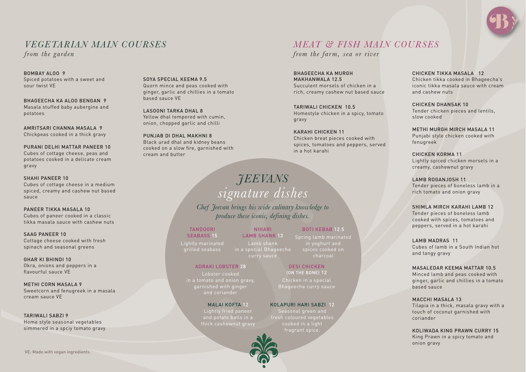

# *VEGETARIAN MAIN COURSES*

*from the garden*

BOMBAY ALOO 9 Spiced potatoes with a sweet and sour twist VE

BHAGEECHA KA ALOO BENGAN 9 Masala stuffed baby aubergine and potatoes

AMRITSARI CHANNA MASALA 9 Chickpeas cooked in a thick gravy

### PURANI DELHI MATTAR PANEER 10 Cubes of cottage cheese, peas and

potatoes cooked in a delicate cream gravy

SHAHI PANEER 10

Cubes of cottage cheese in a medium spiced, creamy and cashew nut based sauce

PANEER TIKKA MASALA 10

Cubes of paneer cooked in a classic tikka masala sauce with cashew nuts

SAAG PANEER 10 Cottage cheese cooked with fresh spinach and seasonal greens

GHAR KI BHINDI 10 Okra, onions and peppers in a flavourful sauce VE

METHI CORN MASALA 9 Sweetcorn and fenugreek in a masala cream sauce VE

TARIWALI SABZI 9 Home style seasonal vegetables simmered in a spciy tomato gravy SOYA SPECIAL KEEMA 9.5 Quorn mince and peas cooked with ginger, garlic and chillies in a tomato based sauce VE

LASOONI TARKA DHAL 8 Yellow dhal tempered with cumin, onion, chopped garlic and chilli

PUNJAB DI DHAL MAKHNI 8 Black urad dhal and kidney beans cooked on a slow fire, garnished with cream and butter

# *JEEVANS signature dishes*

*Chef Jeevan brings his wide culinary knowledge to produce these iconic, defining dishes.* 

NIHARI

Lamb shank

TANDOORI SEARASS<sub>15</sub> grilled seabass

LAMB SHANK 13 in a special Bhageecha curry sauce BOTI KEBAB 12.5 Spring lamb marinated in yoghurt and spices cooked on charcoal

ADRAKI LOBSTER 28

and coriander

### MALAI KOFTA 12

Lightly fried paneer and potato balls in a thick cashewnut gravy

### Chicken in a special Bhageecha curry sauce

DESI CHICKEN (ON THE BONE) 12

KOLAPURI HARI SABZI 12

Seasonal green and fresh coloured vegetables cooked in a light fragrant spice.



# *MEAT & FISH MAIN COURSES*

*from the farm, sea or river*

BHAGEECHA KA MURGH MAKHANWALA 12.5 Succulent morsels of chicken in a rich, creamy cashew nut based sauce

TARIWALI CHICKEN 10.5 Homestyle chicken in a spicy, tomato gravy

KARAHI CHICKEN 11 Chicken breat pieces cooked with spices, tomatoes and peppers, served in a hot karahi

CHICKEN TIKKA MASALA 12 Chicken tikka cooked in Bhageecha's iconic tikka masala sauce with cream and cashew nuts

CHICKEN DHANSAK 10 Tender chicken pieces and lentils, slow cooked

METHI MURGH MIRCH MASALA 11 Punjabi style chicken cooked with fenugreek

CHICKEN KORMA 11 Lightly spiced chicken morsels in a creamy, cashewnut gravy

LAMB ROGANJOSH 11 Tender pieces of boneless lamb in a rich tomato and onion gravy

SHIMLA MIRCH KARAHI LAMB 12

Tender pieces of boneless lamb cooked with spices, tomatoes and peppers, served in a hot karahi

LAMB MADRAS 11

Cubes of lamb in a South Indian hot and tangy gravy

### MASALEDAR KEEMA MATTAR 10.5

Minced lamb and peas cooked with ginger, garlic and chillies in a tomato based sauce

### MACCHI MASALA 13

Tilapia in a thick, masala gravy with a touch of coconut garnished with coriander

KOLIWADA KING PRAWN CURRY 15

King Prawn in a spicy tomato and onion gravy